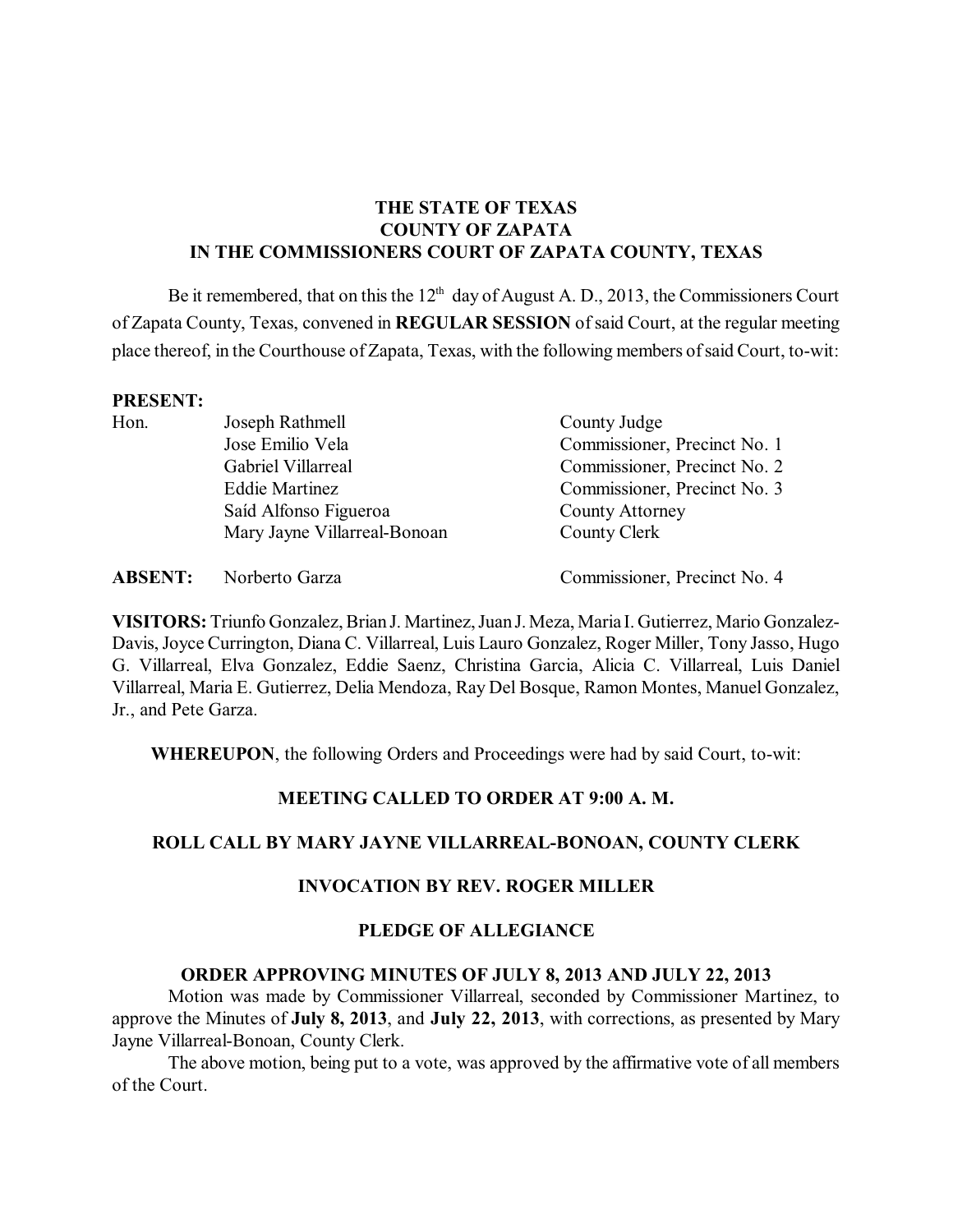## **THE STATE OF TEXAS COUNTY OF ZAPATA IN THE COMMISSIONERS COURT OF ZAPATA COUNTY, TEXAS**

Be it remembered, that on this the  $12<sup>th</sup>$  day of August A. D., 2013, the Commissioners Court of Zapata County, Texas, convened in **REGULAR SESSION** ofsaid Court, at the regular meeting place thereof, in the Courthouse of Zapata, Texas, with the following members ofsaid Court, to-wit:

#### **PRESENT:**

| Hon. | Joseph Rathmell              | County Judge                 |
|------|------------------------------|------------------------------|
|      | Jose Emilio Vela             | Commissioner, Precinct No. 1 |
|      | Gabriel Villarreal           | Commissioner, Precinct No. 2 |
|      | <b>Eddie Martinez</b>        | Commissioner, Precinct No. 3 |
|      | Saíd Alfonso Figueroa        | <b>County Attorney</b>       |
|      | Mary Jayne Villarreal-Bonoan | County Clerk                 |
|      |                              |                              |

**ABSENT:** Norberto Garza Commissioner, Precinct No. 4

**VISITORS:** Triunfo Gonzalez, Brian J. Martinez, JuanJ. Meza, Maria I. Gutierrez, Mario Gonzalez-Davis,Joyce Currington, Diana C. Villarreal, Luis Lauro Gonzalez, Roger Miller, Tony Jasso, Hugo G. Villarreal, Elva Gonzalez, Eddie Saenz, Christina Garcia, Alicia C. Villarreal, Luis Daniel Villarreal, Maria E. Gutierrez, Delia Mendoza, Ray Del Bosque, Ramon Montes, Manuel Gonzalez, Jr., and Pete Garza.

**WHEREUPON**, the following Orders and Proceedings were had by said Court, to-wit:

#### **MEETING CALLED TO ORDER AT 9:00 A. M.**

## **ROLL CALL BY MARY JAYNE VILLARREAL-BONOAN, COUNTY CLERK**

### **INVOCATION BY REV. ROGER MILLER**

#### **PLEDGE OF ALLEGIANCE**

#### **ORDER APPROVING MINUTES OF JULY 8, 2013 AND JULY 22, 2013**

Motion was made by Commissioner Villarreal, seconded by Commissioner Martinez, to approve the Minutes of **July 8, 2013**, and **July 22, 2013**, with corrections, as presented by Mary Jayne Villarreal-Bonoan, County Clerk.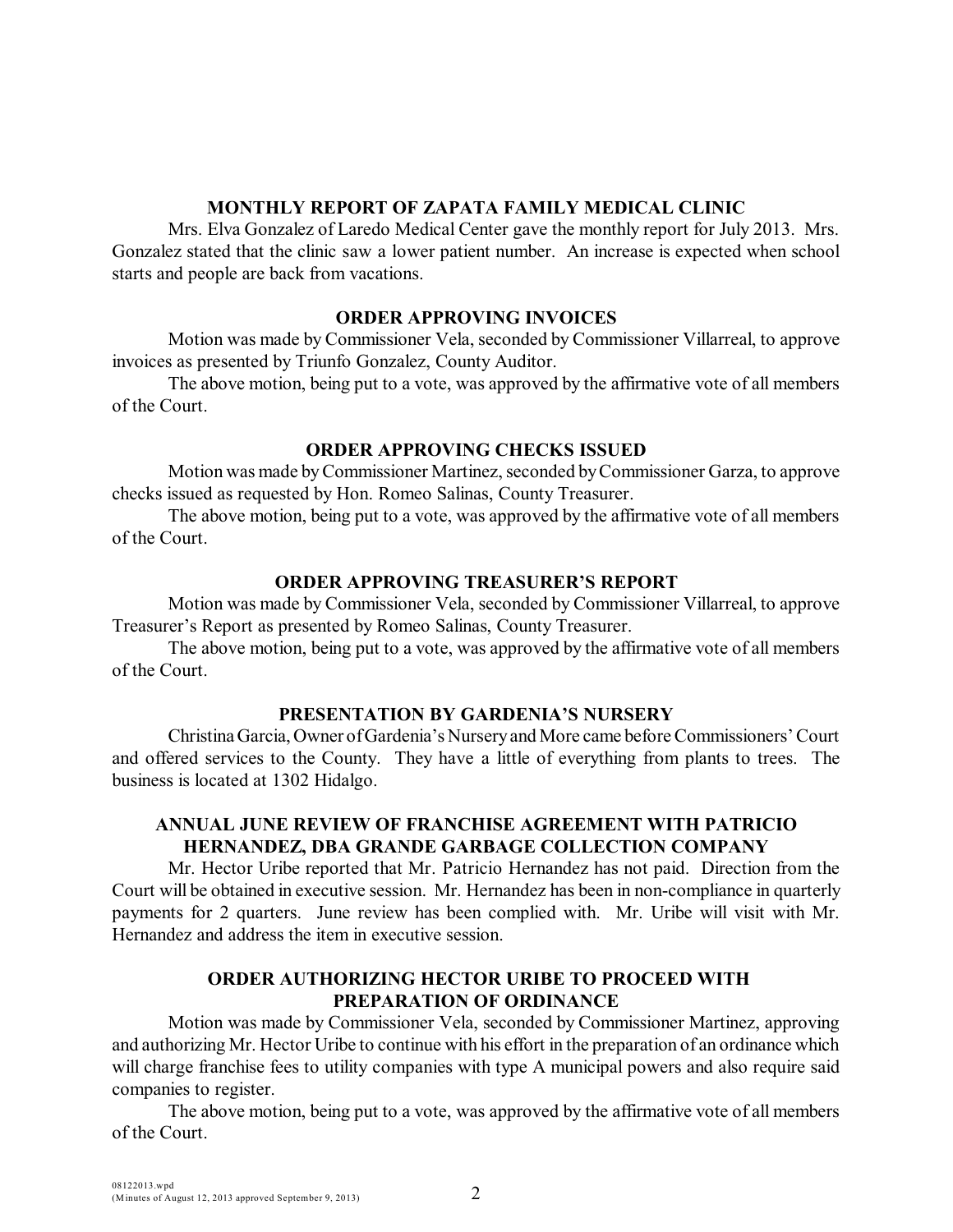### **MONTHLY REPORT OF ZAPATA FAMILY MEDICAL CLINIC**

Mrs. Elva Gonzalez of Laredo Medical Center gave the monthly report for July 2013. Mrs. Gonzalez stated that the clinic saw a lower patient number. An increase is expected when school starts and people are back from vacations.

#### **ORDER APPROVING INVOICES**

Motion was made by Commissioner Vela, seconded by Commissioner Villarreal, to approve invoices as presented by Triunfo Gonzalez, County Auditor.

The above motion, being put to a vote, was approved by the affirmative vote of all members of the Court.

## **ORDER APPROVING CHECKS ISSUED**

Motion was made byCommissioner Martinez, seconded byCommissioner Garza, to approve checks issued as requested by Hon. Romeo Salinas, County Treasurer.

The above motion, being put to a vote, was approved by the affirmative vote of all members of the Court.

### **ORDER APPROVING TREASURER'S REPORT**

Motion was made by Commissioner Vela, seconded by Commissioner Villarreal, to approve Treasurer's Report as presented by Romeo Salinas, County Treasurer.

The above motion, being put to a vote, was approved by the affirmative vote of all members of the Court.

### **PRESENTATION BY GARDENIA'S NURSERY**

Christina Garcia, Owner ofGardenia's Nurseryand More came before Commissioners'Court and offered services to the County. They have a little of everything from plants to trees. The business is located at 1302 Hidalgo.

# **ANNUAL JUNE REVIEW OF FRANCHISE AGREEMENT WITH PATRICIO HERNANDEZ, DBA GRANDE GARBAGE COLLECTION COMPANY**

Mr. Hector Uribe reported that Mr. Patricio Hernandez has not paid. Direction from the Court will be obtained in executive session. Mr. Hernandez has been in non-compliance in quarterly payments for 2 quarters. June review has been complied with. Mr. Uribe will visit with Mr. Hernandez and address the item in executive session.

### **ORDER AUTHORIZING HECTOR URIBE TO PROCEED WITH PREPARATION OF ORDINANCE**

Motion was made by Commissioner Vela, seconded by Commissioner Martinez, approving and authorizing Mr. Hector Uribe to continue with his effort in the preparation of an ordinance which will charge franchise fees to utility companies with type A municipal powers and also require said companies to register.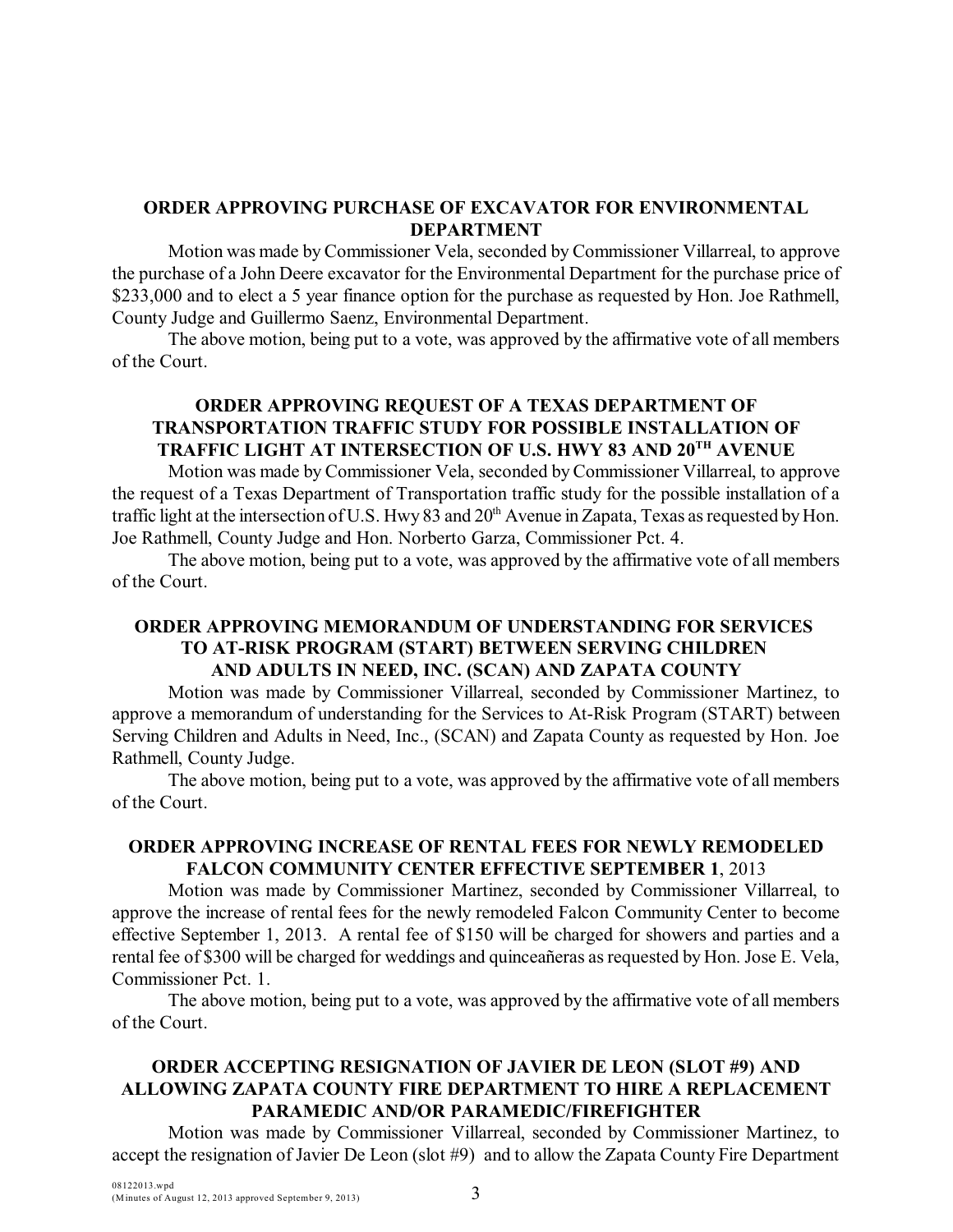## **ORDER APPROVING PURCHASE OF EXCAVATOR FOR ENVIRONMENTAL DEPARTMENT**

Motion was made by Commissioner Vela, seconded by Commissioner Villarreal, to approve the purchase of a John Deere excavator for the Environmental Department for the purchase price of \$233,000 and to elect a 5 year finance option for the purchase as requested by Hon. Joe Rathmell, County Judge and Guillermo Saenz, Environmental Department.

The above motion, being put to a vote, was approved by the affirmative vote of all members of the Court.

### **ORDER APPROVING REQUEST OF A TEXAS DEPARTMENT OF TRANSPORTATION TRAFFIC STUDY FOR POSSIBLE INSTALLATION OF TRAFFIC LIGHT AT INTERSECTION OF U.S. HWY 83 AND 20TH AVENUE**

Motion was made by Commissioner Vela, seconded byCommissioner Villarreal, to approve the request of a Texas Department of Transportation traffic study for the possible installation of a traffic light at the intersection of U.S. Hwy 83 and  $20<sup>th</sup>$  Avenue in Zapata, Texas as requested by Hon. Joe Rathmell, County Judge and Hon. Norberto Garza, Commissioner Pct. 4.

The above motion, being put to a vote, was approved by the affirmative vote of all members of the Court.

# **ORDER APPROVING MEMORANDUM OF UNDERSTANDING FOR SERVICES TO AT-RISK PROGRAM (START) BETWEEN SERVING CHILDREN AND ADULTS IN NEED, INC. (SCAN) AND ZAPATA COUNTY**

Motion was made by Commissioner Villarreal, seconded by Commissioner Martinez, to approve a memorandum of understanding for the Services to At-Risk Program (START) between Serving Children and Adults in Need, Inc., (SCAN) and Zapata County as requested by Hon. Joe Rathmell, County Judge.

The above motion, being put to a vote, was approved by the affirmative vote of all members of the Court.

## **ORDER APPROVING INCREASE OF RENTAL FEES FOR NEWLY REMODELED FALCON COMMUNITY CENTER EFFECTIVE SEPTEMBER 1**, 2013

Motion was made by Commissioner Martinez, seconded by Commissioner Villarreal, to approve the increase of rental fees for the newly remodeled Falcon Community Center to become effective September 1, 2013. A rental fee of \$150 will be charged for showers and parties and a rental fee of \$300 will be charged for weddings and quinceañeras as requested by Hon. Jose E. Vela, Commissioner Pct. 1.

The above motion, being put to a vote, was approved by the affirmative vote of all members of the Court.

# **ORDER ACCEPTING RESIGNATION OF JAVIER DE LEON (SLOT #9) AND ALLOWING ZAPATA COUNTY FIRE DEPARTMENT TO HIRE A REPLACEMENT PARAMEDIC AND/OR PARAMEDIC/FIREFIGHTER**

Motion was made by Commissioner Villarreal, seconded by Commissioner Martinez, to accept the resignation of Javier De Leon (slot #9) and to allow the Zapata County Fire Department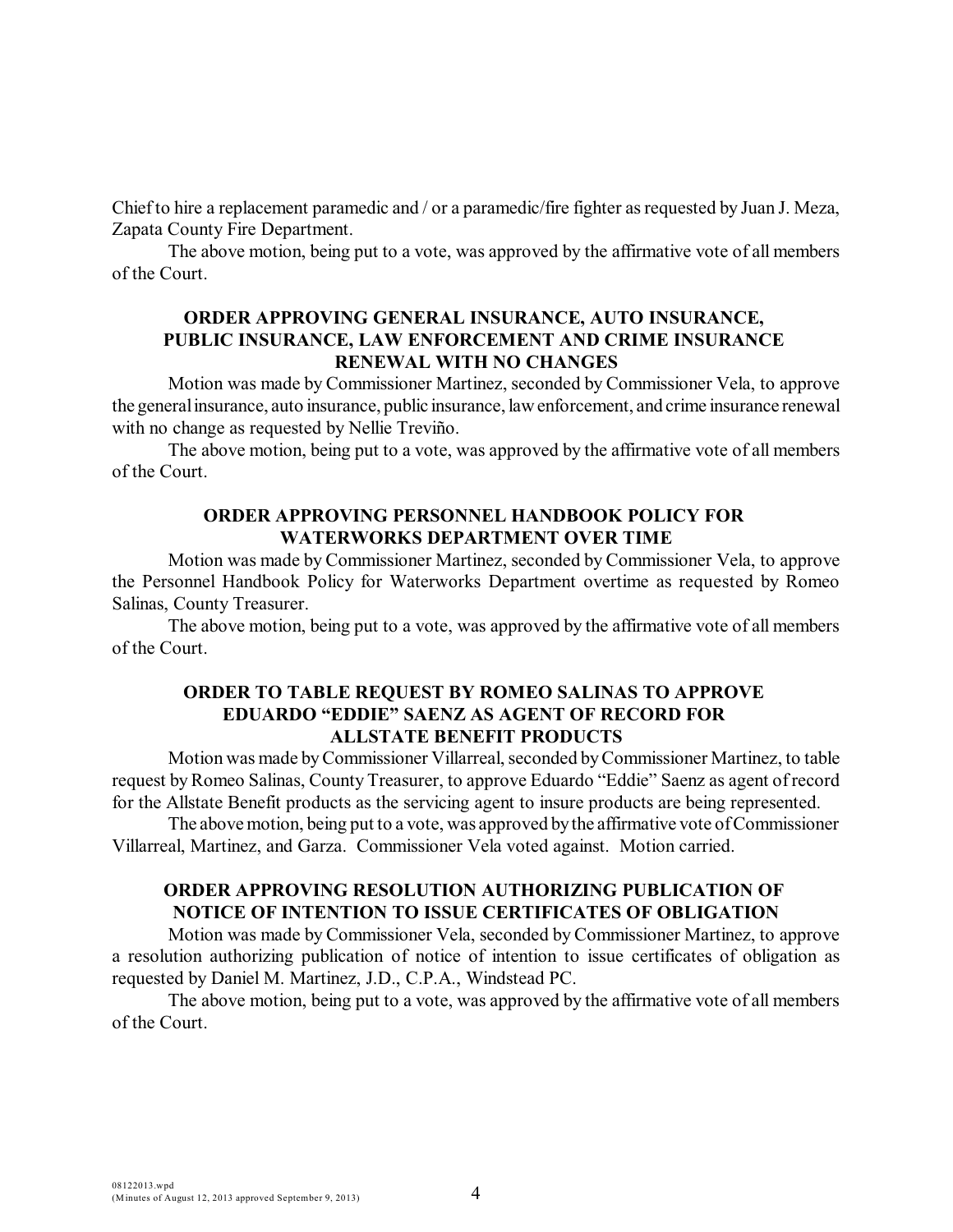Chiefto hire a replacement paramedic and / or a paramedic/fire fighter asrequested by Juan J. Meza, Zapata County Fire Department.

The above motion, being put to a vote, was approved by the affirmative vote of all members of the Court.

### **ORDER APPROVING GENERAL INSURANCE, AUTO INSURANCE, PUBLIC INSURANCE, LAW ENFORCEMENT AND CRIME INSURANCE RENEWAL WITH NO CHANGES**

Motion was made by Commissioner Martinez, seconded by Commissioner Vela, to approve the generalinsurance, auto insurance, public insurance, law enforcement, and crime insurance renewal with no change as requested by Nellie Treviño.

The above motion, being put to a vote, was approved by the affirmative vote of all members of the Court.

### **ORDER APPROVING PERSONNEL HANDBOOK POLICY FOR WATERWORKS DEPARTMENT OVER TIME**

Motion was made by Commissioner Martinez, seconded by Commissioner Vela, to approve the Personnel Handbook Policy for Waterworks Department overtime as requested by Romeo Salinas, County Treasurer.

The above motion, being put to a vote, was approved by the affirmative vote of all members of the Court.

### **ORDER TO TABLE REQUEST BY ROMEO SALINAS TO APPROVE EDUARDO "EDDIE" SAENZ AS AGENT OF RECORD FOR ALLSTATE BENEFIT PRODUCTS**

Motion was made by Commissioner Villarreal, seconded by Commissioner Martinez, to table request byRomeo Salinas, County Treasurer, to approve Eduardo "Eddie" Saenz as agent of record for the Allstate Benefit products as the servicing agent to insure products are being represented.

The above motion, being put to a vote, was approved by the affirmative vote of Commissioner Villarreal, Martinez, and Garza. Commissioner Vela voted against. Motion carried.

# **ORDER APPROVING RESOLUTION AUTHORIZING PUBLICATION OF NOTICE OF INTENTION TO ISSUE CERTIFICATES OF OBLIGATION**

Motion was made by Commissioner Vela, seconded by Commissioner Martinez, to approve a resolution authorizing publication of notice of intention to issue certificates of obligation as requested by Daniel M. Martinez, J.D., C.P.A., Windstead PC.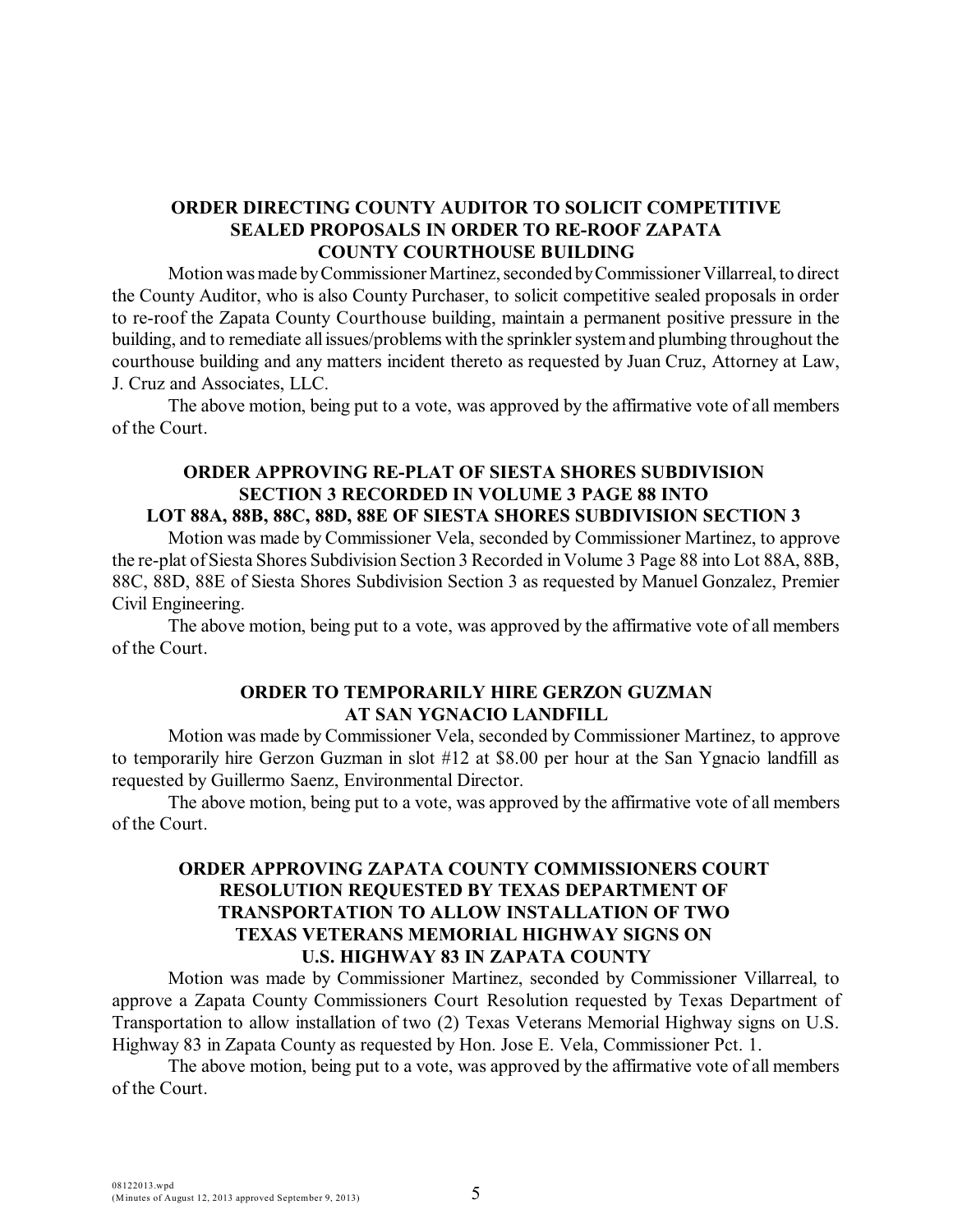## **ORDER DIRECTING COUNTY AUDITOR TO SOLICIT COMPETITIVE SEALED PROPOSALS IN ORDER TO RE-ROOF ZAPATA COUNTY COURTHOUSE BUILDING**

Motionwasmade byCommissioner Martinez, seconded byCommissioner Villarreal, to direct the County Auditor, who is also County Purchaser, to solicit competitive sealed proposals in order to re-roof the Zapata County Courthouse building, maintain a permanent positive pressure in the building, and to remediate allissues/problems with the sprinkler systemand plumbing throughout the courthouse building and any matters incident thereto as requested by Juan Cruz, Attorney at Law, J. Cruz and Associates, LLC.

The above motion, being put to a vote, was approved by the affirmative vote of all members of the Court.

#### **ORDER APPROVING RE-PLAT OF SIESTA SHORES SUBDIVISION SECTION 3 RECORDED IN VOLUME 3 PAGE 88 INTO LOT 88A, 88B, 88C, 88D, 88E OF SIESTA SHORES SUBDIVISION SECTION 3**

Motion was made by Commissioner Vela, seconded by Commissioner Martinez, to approve the re-plat of Siesta Shores Subdivision Section 3 Recorded in Volume 3 Page 88 into Lot 88A, 88B, 88C, 88D, 88E of Siesta Shores Subdivision Section 3 as requested by Manuel Gonzalez, Premier Civil Engineering.

The above motion, being put to a vote, was approved by the affirmative vote of all members of the Court.

#### **ORDER TO TEMPORARILY HIRE GERZON GUZMAN AT SAN YGNACIO LANDFILL**

Motion was made by Commissioner Vela, seconded by Commissioner Martinez, to approve to temporarily hire Gerzon Guzman in slot #12 at \$8.00 per hour at the San Ygnacio landfill as requested by Guillermo Saenz, Environmental Director.

The above motion, being put to a vote, was approved by the affirmative vote of all members of the Court.

## **ORDER APPROVING ZAPATA COUNTY COMMISSIONERS COURT RESOLUTION REQUESTED BY TEXAS DEPARTMENT OF TRANSPORTATION TO ALLOW INSTALLATION OF TWO TEXAS VETERANS MEMORIAL HIGHWAY SIGNS ON U.S. HIGHWAY 83 IN ZAPATA COUNTY**

Motion was made by Commissioner Martinez, seconded by Commissioner Villarreal, to approve a Zapata County Commissioners Court Resolution requested by Texas Department of Transportation to allow installation of two (2) Texas Veterans Memorial Highway signs on U.S. Highway 83 in Zapata County as requested by Hon. Jose E. Vela, Commissioner Pct. 1.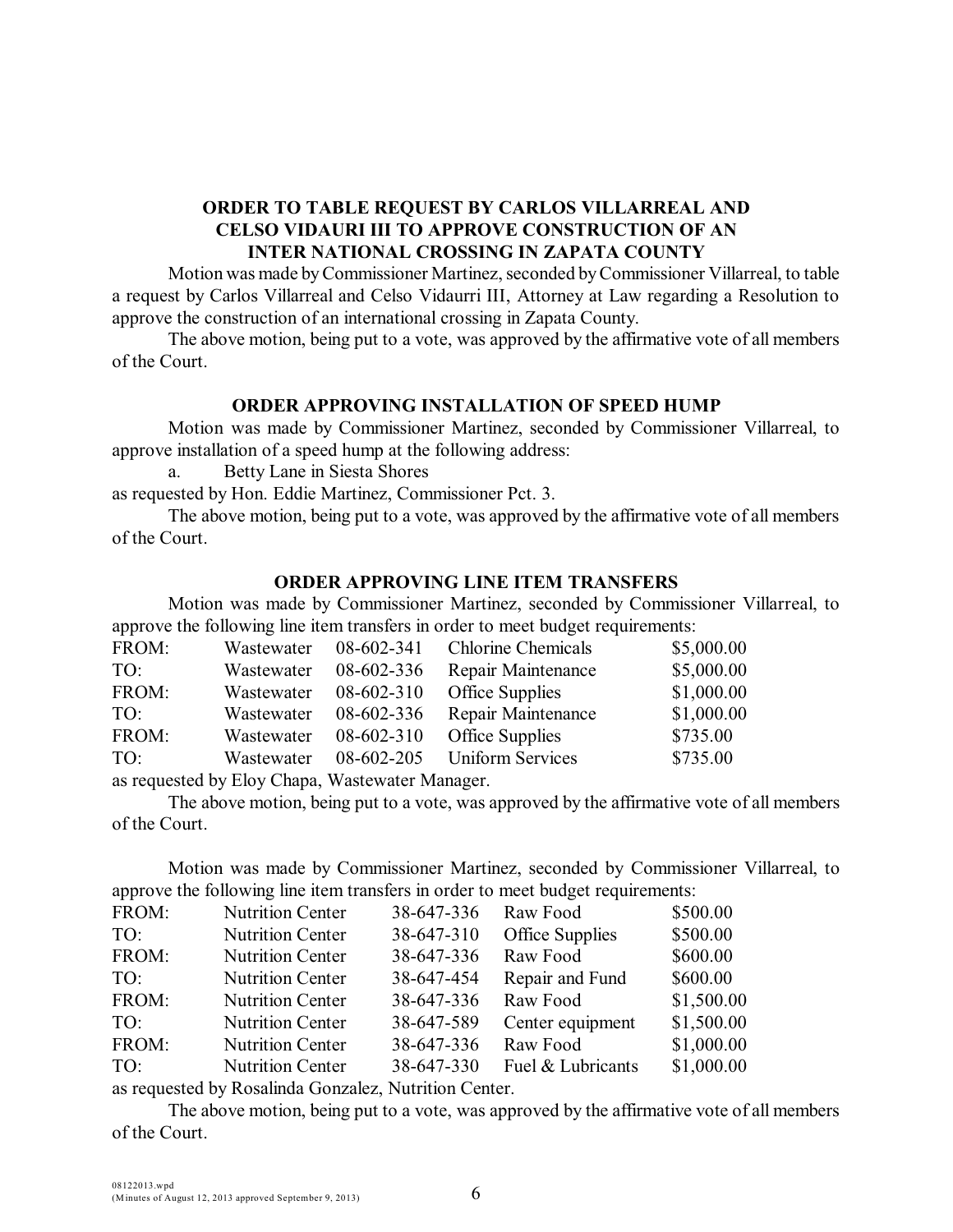## **ORDER TO TABLE REQUEST BY CARLOS VILLARREAL AND CELSO VIDAURI III TO APPROVE CONSTRUCTION OF AN INTER NATIONAL CROSSING IN ZAPATA COUNTY**

Motion was made byCommissioner Martinez, seconded byCommissioner Villarreal, to table a request by Carlos Villarreal and Celso Vidaurri III, Attorney at Law regarding a Resolution to approve the construction of an international crossing in Zapata County.

The above motion, being put to a vote, was approved by the affirmative vote of all members of the Court.

#### **ORDER APPROVING INSTALLATION OF SPEED HUMP**

Motion was made by Commissioner Martinez, seconded by Commissioner Villarreal, to approve installation of a speed hump at the following address:

a. Betty Lane in Siesta Shores

as requested by Hon. Eddie Martinez, Commissioner Pct. 3.

The above motion, being put to a vote, was approved by the affirmative vote of all members of the Court.

### **ORDER APPROVING LINE ITEM TRANSFERS**

Motion was made by Commissioner Martinez, seconded by Commissioner Villarreal, to approve the following line item transfers in order to meet budget requirements:

| FROM: | Wastewater | 08-602-341   | <b>Chlorine Chemicals</b> | \$5,000.00 |
|-------|------------|--------------|---------------------------|------------|
| TO:   | Wastewater | 08-602-336   | Repair Maintenance        | \$5,000.00 |
| FROM: | Wastewater | 08-602-310   | Office Supplies           | \$1,000.00 |
| TO:   | Wastewater | 08-602-336   | Repair Maintenance        | \$1,000.00 |
| FROM: | Wastewater | 08-602-310   | Office Supplies           | \$735.00   |
| TO:   | Wastewater | 08-602-205   | <b>Uniform Services</b>   | \$735.00   |
|       |            | $\mathbf{v}$ |                           |            |

as requested by Eloy Chapa, Wastewater Manager.

The above motion, being put to a vote, was approved by the affirmative vote of all members of the Court.

Motion was made by Commissioner Martinez, seconded by Commissioner Villarreal, to approve the following line item transfers in order to meet budget requirements:

| FROM: | <b>Nutrition Center</b> | 38-647-336 | Raw Food          | \$500.00   |
|-------|-------------------------|------------|-------------------|------------|
| TO:   | <b>Nutrition Center</b> | 38-647-310 | Office Supplies   | \$500.00   |
| FROM: | <b>Nutrition Center</b> | 38-647-336 | Raw Food          | \$600.00   |
| TO:   | <b>Nutrition Center</b> | 38-647-454 | Repair and Fund   | \$600.00   |
| FROM: | <b>Nutrition Center</b> | 38-647-336 | Raw Food          | \$1,500.00 |
| TO:   | <b>Nutrition Center</b> | 38-647-589 | Center equipment  | \$1,500.00 |
| FROM: | <b>Nutrition Center</b> | 38-647-336 | Raw Food          | \$1,000.00 |
| TO:   | <b>Nutrition Center</b> | 38-647-330 | Fuel & Lubricants | \$1,000.00 |
|       |                         |            |                   |            |

as requested by Rosalinda Gonzalez, Nutrition Center.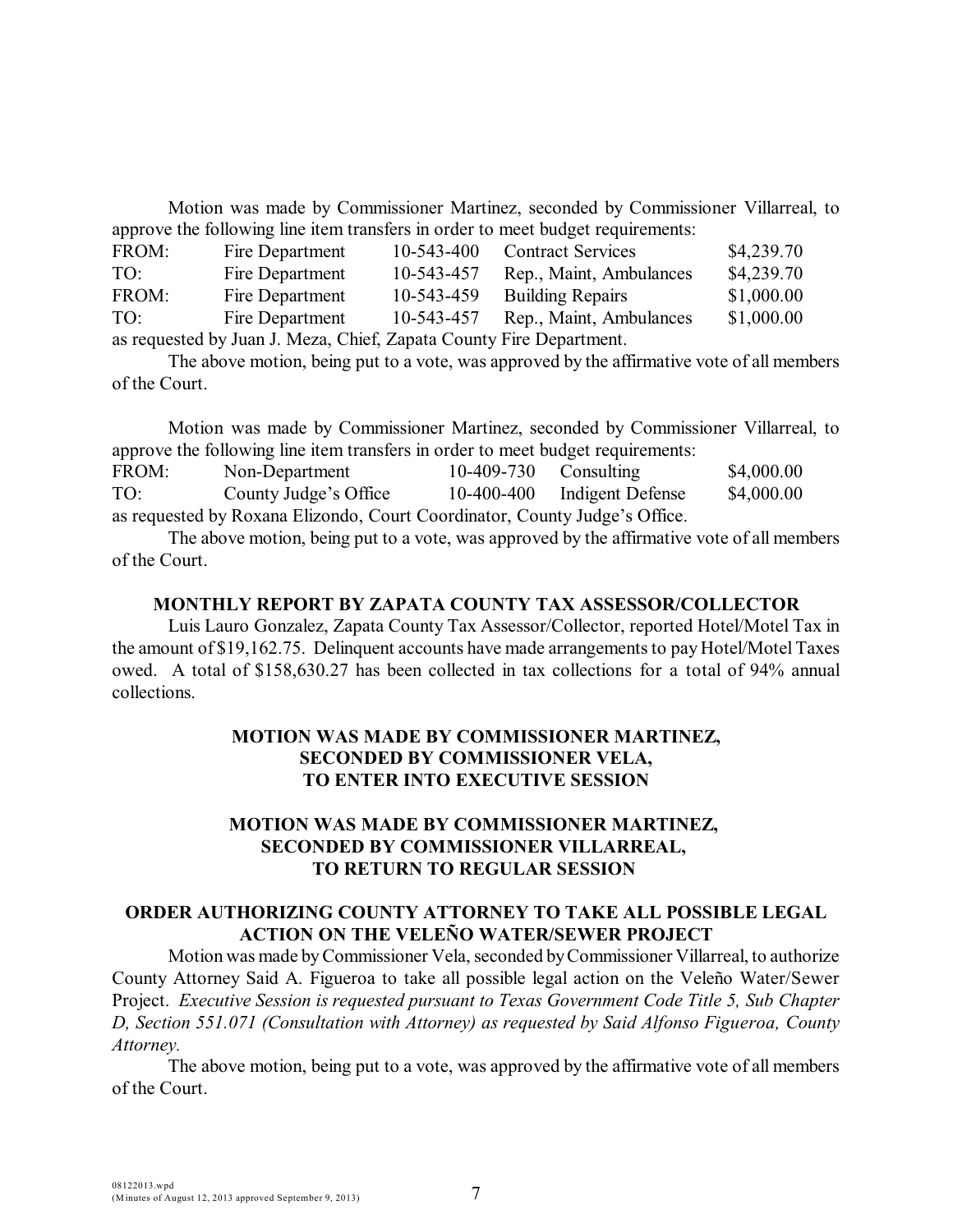Motion was made by Commissioner Martinez, seconded by Commissioner Villarreal, to approve the following line item transfers in order to meet budget requirements:

| FROM:                                                               | Fire Department | 10-543-400 | <b>Contract Services</b>           | \$4,239.70 |
|---------------------------------------------------------------------|-----------------|------------|------------------------------------|------------|
| TO:                                                                 | Fire Department | 10-543-457 | Rep., Maint, Ambulances            | \$4,239.70 |
| FROM:                                                               | Fire Department | 10-543-459 | <b>Building Repairs</b>            | \$1,000.00 |
| TO:                                                                 | Fire Department |            | 10-543-457 Rep., Maint, Ambulances | \$1,000.00 |
| as requested by Juan J. Meza, Chief, Zapata County Fire Department. |                 |            |                                    |            |

The above motion, being put to a vote, was approved by the affirmative vote of all members of the Court.

Motion was made by Commissioner Martinez, seconded by Commissioner Villarreal, to approve the following line item transfers in order to meet budget requirements:

| FROM: | Non-Department                                                             | $10-409-730$ Consulting |                             | \$4,000.00 |
|-------|----------------------------------------------------------------------------|-------------------------|-----------------------------|------------|
| TO:   | County Judge's Office                                                      |                         | 10-400-400 Indigent Defense | \$4,000.00 |
|       | as requested by Roxana Elizondo, Court Coordinator, County Judge's Office. |                         |                             |            |

The above motion, being put to a vote, was approved by the affirmative vote of all members of the Court.

#### **MONTHLY REPORT BY ZAPATA COUNTY TAX ASSESSOR/COLLECTOR**

Luis Lauro Gonzalez, Zapata County Tax Assessor/Collector, reported Hotel/Motel Tax in the amount of \$19,162.75. Delinquent accounts have made arrangements to pay Hotel/Motel Taxes owed. A total of \$158,630.27 has been collected in tax collections for a total of 94% annual collections.

## **MOTION WAS MADE BY COMMISSIONER MARTINEZ, SECONDED BY COMMISSIONER VELA, TO ENTER INTO EXECUTIVE SESSION**

### **MOTION WAS MADE BY COMMISSIONER MARTINEZ, SECONDED BY COMMISSIONER VILLARREAL, TO RETURN TO REGULAR SESSION**

#### **ORDER AUTHORIZING COUNTY ATTORNEY TO TAKE ALL POSSIBLE LEGAL ACTION ON THE VELEÑO WATER/SEWER PROJECT**

Motion was made byCommissioner Vela, seconded byCommissioner Villarreal, to authorize County Attorney Said A. Figueroa to take all possible legal action on the Veleño Water/Sewer Project. *Executive Session is requested pursuant to Texas Government Code Title 5, Sub Chapter D, Section 551.071 (Consultation with Attorney) as requested by Said Alfonso Figueroa, County Attorney.*